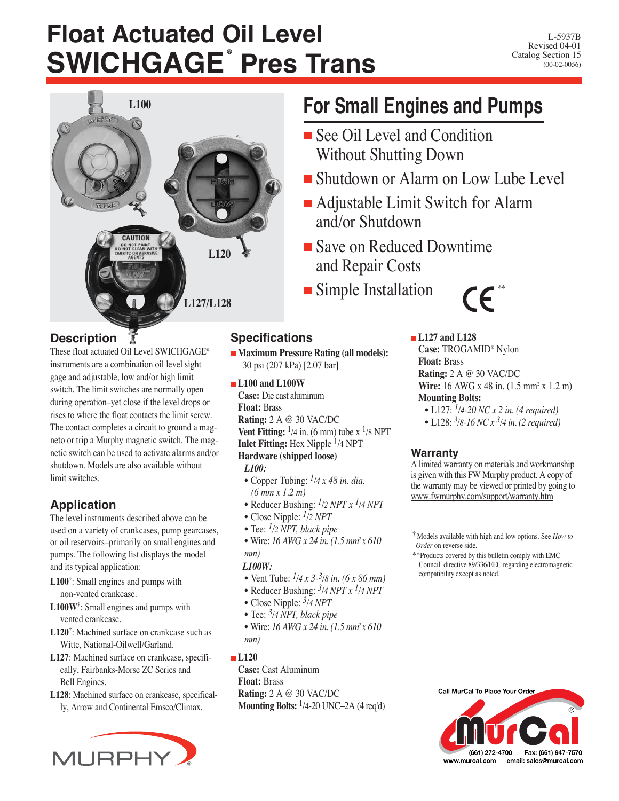# **Float Actuated Oil Level SWICHGAGE**® **Pres Trans**



## **Description**

These float actuated Oil Level SWICHGAGE® instruments are a combination oil level sight gage and adjustable, low and/or high limit switch. The limit switches are normally open during operation–yet close if the level drops or rises to where the float contacts the limit screw. The contact completes a circuit to ground a magneto or trip a Murphy magnetic switch. The magnetic switch can be used to activate alarms and/or shutdown. Models are also available without limit switches.

## **Application**

The level instruments described above can be used on a variety of crankcases, pump gearcases, or oil reservoirs–primarily on small engines and pumps. The following list displays the model and its typical application:

- **L100†** : Small engines and pumps with non-vented crankcase.
- **L100W†** : Small engines and pumps with vented crankcase.
- **L120†** : Machined surface on crankcase such as Witte, National-Oilwell/Garland.
- **L127**: Machined surface on crankcase, specifically, Fairbanks-Morse ZC Series and Bell Engines.
- **L128**: Machined surface on crankcase, specifically, Arrow and Continental Emsco/Climax.



## **For Small Engines and Pumps**

- See Oil Level and Condition Without Shutting Down
- Shutdown or Alarm on Low Lube Level
- Adjustable Limit Switch for Alarm and/or Shutdown
- Save on Reduced Downtime and Repair Costs
- **Simple Installation**

**Specifications**

**L100 and L100W Case:** Die cast aluminum

**Float:** Brass

*L100:*

*mm) L100W:*

*mm)* **L120**

**Float:** Brass

**Maximum Pressure Rating (all models):**

**Vent Fitting:**  $\frac{1}{4}$  in. (6 mm) tube x  $\frac{1}{8}$  NPT **Inlet Fitting:** Hex Nipple 1/4 NPT **Hardware (shipped loose)**

• Copper Tubing: *1/4 x 48 in. dia.*

• Reducer Bushing: *1/2 NPT x 1/4 NPT*

• Wire: *16 AWG x 24 in. (1.5 mm2 x 610*

• Vent Tube: *1/4 x 3-3/8 in. (6 x 86 mm)* • Reducer Bushing: *3/4 NPT x 1/4 NPT*

• Wire: *16 AWG x 24 in. (1.5 mm2 x 610*

**Mounting Bolts:** 1/4-20 UNC–2A (4 req'd)

30 psi (207 kPa) [2.07 bar]

**Rating:** 2 A @ 30 VAC/DC

*(6 mm x 1.2 m)*

• Close Nipple: *1/2 NPT* • Tee: *1/2 NPT, black pipe*

• Close Nipple: *3/4 NPT* • Tee: *3/4 NPT, black pipe*

**Case:** Cast Aluminum

**Rating:** 2 A @ 30 VAC/DC

 $\mathsf{CE}^*$ 

**L127 and L128 Case:** TROGAMID® Nylon **Float:** Brass **Rating:** 2 A @ 30 VAC/DC **Wire:** 16 AWG x 48 in. (1.5 mm<sup>2</sup> x 1.2 m)

**Mounting Bolts:**

- L127: *1/4-20 NC x 2 in. (4 required)*
- L128: *3/8-16 NC x 3/4 in. (2 required)*

### **Warranty**

A limited warranty on materials and workmanship is given with this FW Murphy product. A copy of the warranty may be viewed or printed by going to www.fwmurphy.com/support/warranty.htm

**†** Models available with high and low options. See *How to Order* on reverse side.

\*\*Products covered by this bulletin comply with EMC Council directive 89/336/EEC regarding electromagnetic compatibility except as noted.